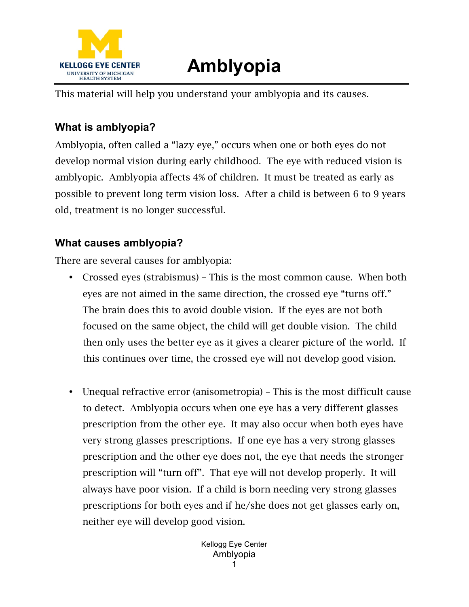

## **Amblyopia**

This material will help you understand your amblyopia and its causes.

## **What is amblyopia?**

Amblyopia, often called a "lazy eye," occurs when one or both eyes do not develop normal vision during early childhood. The eye with reduced vision is amblyopic. Amblyopia affects 4% of children. It must be treated as early as possible to prevent long term vision loss. After a child is between 6 to 9 years old, treatment is no longer successful.

## **What causes amblyopia?**

There are several causes for amblyopia:

- Crossed eyes (strabismus) This is the most common cause. When both eyes are not aimed in the same direction, the crossed eye "turns off." The brain does this to avoid double vision. If the eyes are not both focused on the same object, the child will get double vision. The child then only uses the better eye as it gives a clearer picture of the world. If this continues over time, the crossed eye will not develop good vision.
- Unequal refractive error (anisometropia) This is the most difficult cause to detect. Amblyopia occurs when one eye has a very different glasses prescription from the other eye. It may also occur when both eyes have very strong glasses prescriptions. If one eye has a very strong glasses prescription and the other eye does not, the eye that needs the stronger prescription will "turn off". That eye will not develop properly. It will always have poor vision. If a child is born needing very strong glasses prescriptions for both eyes and if he/she does not get glasses early on, neither eye will develop good vision.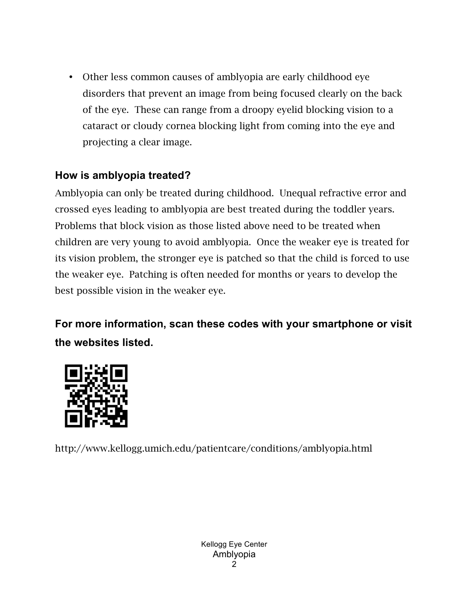• Other less common causes of amblyopia are early childhood eye disorders that prevent an image from being focused clearly on the back of the eye. These can range from a droopy eyelid blocking vision to a cataract or cloudy cornea blocking light from coming into the eye and projecting a clear image.

## **How is amblyopia treated?**

Amblyopia can only be treated during childhood. Unequal refractive error and crossed eyes leading to amblyopia are best treated during the toddler years. Problems that block vision as those listed above need to be treated when children are very young to avoid amblyopia. Once the weaker eye is treated for its vision problem, the stronger eye is patched so that the child is forced to use the weaker eye. Patching is often needed for months or years to develop the best possible vision in the weaker eye.

**For more information, scan these codes with your smartphone or visit the websites listed.** 



http://www.kellogg.umich.edu/patientcare/conditions/amblyopia.html